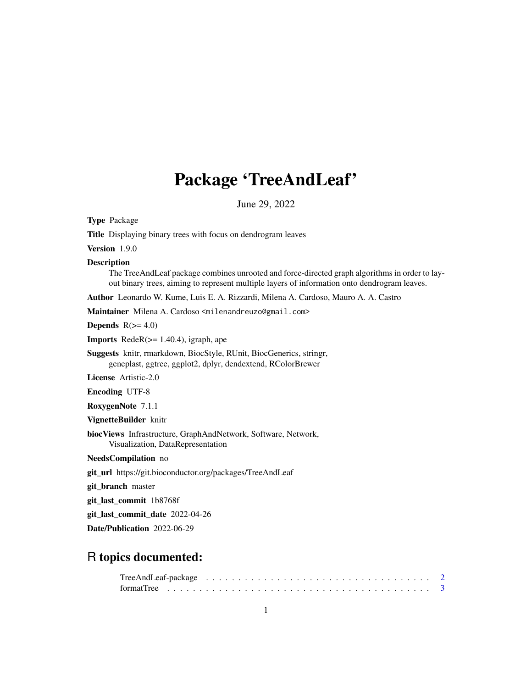# Package 'TreeAndLeaf'

June 29, 2022

order to lay-<br>leaves.

<span id="page-0-0"></span>

| <b>Type Package</b>                                                                                                                                                                                             |
|-----------------------------------------------------------------------------------------------------------------------------------------------------------------------------------------------------------------|
| Title Displaying binary trees with focus on dendrogram leaves                                                                                                                                                   |
| Version 1.9.0                                                                                                                                                                                                   |
| <b>Description</b><br>The TreeAndLeaf package combines unrooted and force-directed graph algorithms in order to<br>out binary trees, aiming to represent multiple layers of information onto dendrogram leaves. |
| Author Leonardo W. Kume, Luis E. A. Rizzardi, Milena A. Cardoso, Mauro A. A. Castro                                                                                                                             |
| Maintainer Milena A. Cardoso <milenandreuzo@gmail.com></milenandreuzo@gmail.com>                                                                                                                                |
| Depends $R(>= 4.0)$                                                                                                                                                                                             |
| <b>Imports</b> RedeR $(>= 1.40.4)$ , igraph, ape                                                                                                                                                                |
| Suggests knitr, rmarkdown, BiocStyle, RUnit, BiocGenerics, stringr,<br>geneplast, ggtree, ggplot2, dplyr, dendextend, RColorBrewer                                                                              |
| <b>License</b> Artistic-2.0                                                                                                                                                                                     |
| <b>Encoding UTF-8</b>                                                                                                                                                                                           |
| RoxygenNote 7.1.1                                                                                                                                                                                               |
| VignetteBuilder knitr                                                                                                                                                                                           |
| biocViews Infrastructure, GraphAndNetwork, Software, Network,<br>Visualization, DataRepresentation                                                                                                              |
| NeedsCompilation no                                                                                                                                                                                             |
| git_url https://git.bioconductor.org/packages/TreeAndLeaf                                                                                                                                                       |
| git_branch master                                                                                                                                                                                               |
| git_last_commit_1b8768f                                                                                                                                                                                         |
| git_last_commit_date 2022-04-26                                                                                                                                                                                 |
| Date/Publication 2022-06-29                                                                                                                                                                                     |
|                                                                                                                                                                                                                 |

# R topics documented:

| TreeAndLeaf-package $\ldots \ldots \ldots \ldots \ldots \ldots \ldots \ldots \ldots \ldots \ldots \ldots \ldots 2$ |  |  |  |  |  |  |  |  |  |  |  |  |  |  |  |  |  |  |  |
|--------------------------------------------------------------------------------------------------------------------|--|--|--|--|--|--|--|--|--|--|--|--|--|--|--|--|--|--|--|
|                                                                                                                    |  |  |  |  |  |  |  |  |  |  |  |  |  |  |  |  |  |  |  |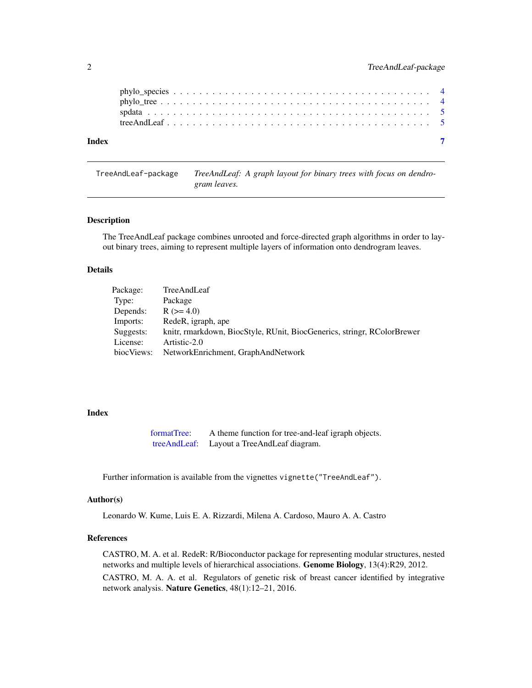<span id="page-1-0"></span>

| Index |  |  |  |  |  |  |  |  |  |  |  |  |  |  |  |  |  |
|-------|--|--|--|--|--|--|--|--|--|--|--|--|--|--|--|--|--|

TreeAndLeaf-package *TreeAndLeaf: A graph layout for binary trees with focus on dendrogram leaves.*

#### <span id="page-1-1"></span>Description

The TreeAndLeaf package combines unrooted and force-directed graph algorithms in order to layout binary trees, aiming to represent multiple layers of information onto dendrogram leaves.

#### Details

| Package:   | TreeAndLeaf                                                             |
|------------|-------------------------------------------------------------------------|
| Type:      | Package                                                                 |
| Depends:   | $R (= 4.0)$                                                             |
| Imports:   | RedeR, igraph, ape                                                      |
| Suggests:  | knitr, rmarkdown, BiocStyle, RUnit, BiocGenerics, stringr, RColorBrewer |
| License:   | Artistic-2.0                                                            |
| biocViews: | NetworkEnrichment, GraphAndNetwork                                      |

#### Index

[formatTree:](#page-2-1) A theme function for tree-and-leaf igraph objects. [treeAndLeaf:](#page-4-1) Layout a TreeAndLeaf diagram.

Further information is available from the vignettes vignette("TreeAndLeaf").

#### Author(s)

Leonardo W. Kume, Luis E. A. Rizzardi, Milena A. Cardoso, Mauro A. A. Castro

## References

CASTRO, M. A. et al. RedeR: R/Bioconductor package for representing modular structures, nested networks and multiple levels of hierarchical associations. Genome Biology, 13(4):R29, 2012. CASTRO, M. A. A. et al. Regulators of genetic risk of breast cancer identified by integrative network analysis. Nature Genetics, 48(1):12–21, 2016.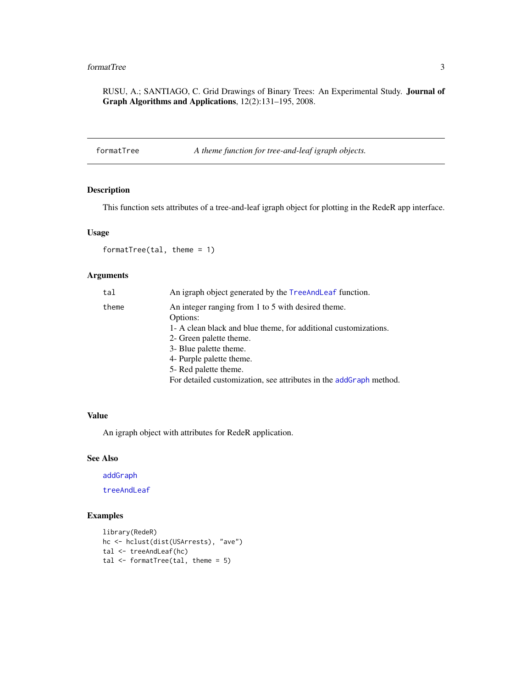### <span id="page-2-0"></span>formatTree 3

RUSU, A.; SANTIAGO, C. Grid Drawings of Binary Trees: An Experimental Study. Journal of Graph Algorithms and Applications, 12(2):131–195, 2008.

<span id="page-2-1"></span>formatTree *A theme function for tree-and-leaf igraph objects.*

#### Description

This function sets attributes of a tree-and-leaf igraph object for plotting in the RedeR app interface.

#### Usage

formatTree(tal, theme = 1)

#### Arguments

| tal   | An igraph object generated by the TreeAndLeaf function.            |
|-------|--------------------------------------------------------------------|
| theme | An integer ranging from 1 to 5 with desired theme.                 |
|       | Options:                                                           |
|       | 1- A clean black and blue theme, for additional customizations.    |
|       | 2- Green palette theme.                                            |
|       | 3- Blue palette theme.                                             |
|       | 4- Purple palette theme.                                           |
|       | 5- Red palette theme.                                              |
|       | For detailed customization, see attributes in the addGraph method. |

#### Value

An igraph object with attributes for RedeR application.

#### See Also

[addGraph](#page-0-0)

[treeAndLeaf](#page-4-1)

#### Examples

```
library(RedeR)
hc <- hclust(dist(USArrests), "ave")
tal <- treeAndLeaf(hc)
tal \leq formatTree(tal, theme = 5)
```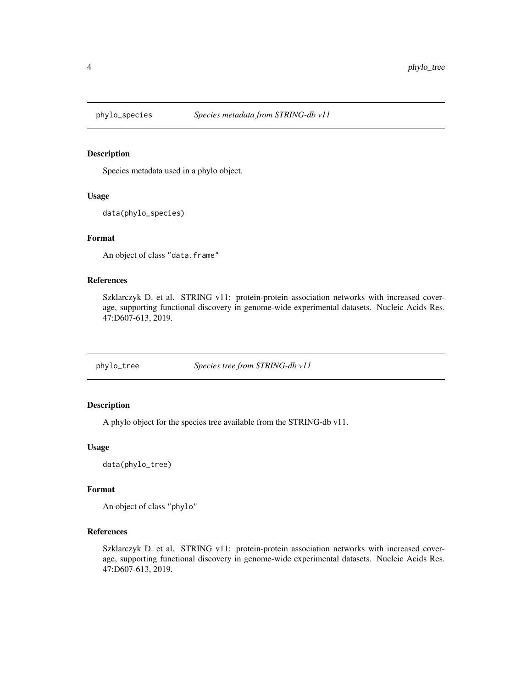<span id="page-3-0"></span>

#### Description

Species metadata used in a phylo object.

#### Usage

data(phylo\_species)

#### Format

An object of class "data.frame"

#### References

Szklarczyk D. et al. STRING v11: protein-protein association networks with increased coverage, supporting functional discovery in genome-wide experimental datasets. Nucleic Acids Res. 47:D607-613, 2019.

phylo\_tree *Species tree from STRING-db v11*

#### Description

A phylo object for the species tree available from the STRING-db v11.

#### Usage

data(phylo\_tree)

#### Format

An object of class "phylo"

#### References

Szklarczyk D. et al. STRING v11: protein-protein association networks with increased coverage, supporting functional discovery in genome-wide experimental datasets. Nucleic Acids Res. 47:D607-613, 2019.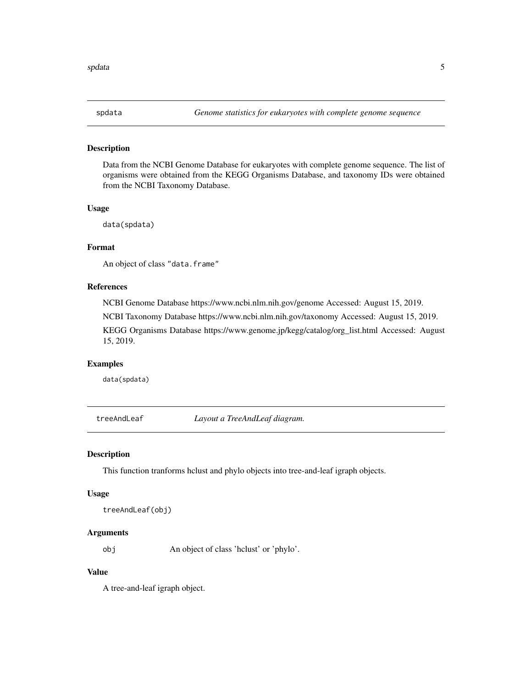<span id="page-4-0"></span>

#### Description

Data from the NCBI Genome Database for eukaryotes with complete genome sequence. The list of organisms were obtained from the KEGG Organisms Database, and taxonomy IDs were obtained from the NCBI Taxonomy Database.

#### Usage

data(spdata)

#### Format

An object of class "data.frame"

#### References

NCBI Genome Database https://www.ncbi.nlm.nih.gov/genome Accessed: August 15, 2019.

NCBI Taxonomy Database https://www.ncbi.nlm.nih.gov/taxonomy Accessed: August 15, 2019.

KEGG Organisms Database https://www.genome.jp/kegg/catalog/org\_list.html Accessed: August 15, 2019.

#### Examples

data(spdata)

<span id="page-4-1"></span>treeAndLeaf *Layout a TreeAndLeaf diagram.*

#### Description

This function tranforms hclust and phylo objects into tree-and-leaf igraph objects.

#### Usage

treeAndLeaf(obj)

#### Arguments

obj An object of class 'hclust' or 'phylo'.

### Value

A tree-and-leaf igraph object.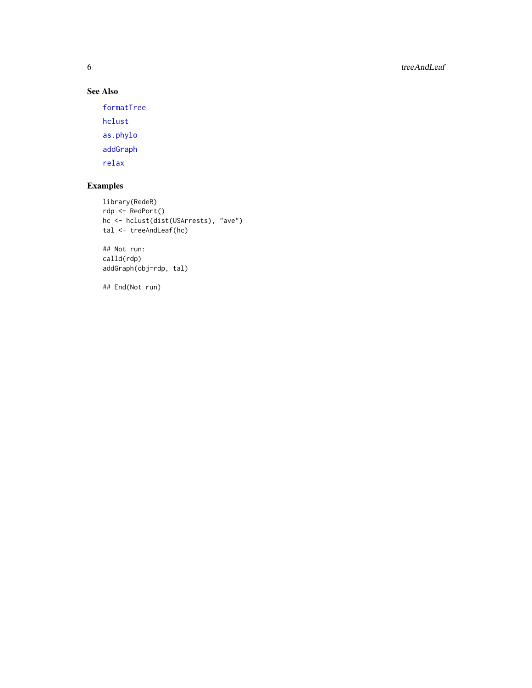<span id="page-5-0"></span>6 treeAndLeaf

# See Also

[formatTree](#page-2-1)

[hclust](#page-0-0) [as.phylo](#page-0-0) [addGraph](#page-0-0)

[relax](#page-0-0)

# Examples

```
library(RedeR)
rdp <- RedPort()
hc <- hclust(dist(USArrests), "ave")
tal <- treeAndLeaf(hc)
```
## Not run: calld(rdp) addGraph(obj=rdp, tal)

## End(Not run)